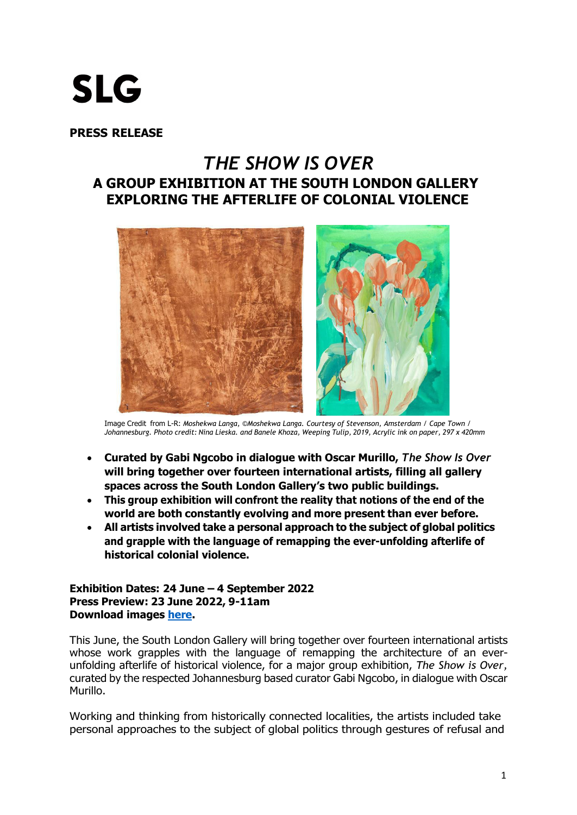# **SLG**

**PRESS RELEASE**

# *THE SHOW IS OVER* **A GROUP EXHIBITION AT THE SOUTH LONDON GALLERY EXPLORING THE AFTERLIFE OF COLONIAL VIOLENCE**



Image Credit from L-R: *Moshekwa Langa, ©Moshekwa Langa. Courtesy of Stevenson, Amsterdam / Cape Town /*  Johannesburg. Photo credit: Nina Lieska. and Banele Khoza, Weeping Tulip, 2019, Acrylic ink on paper, 297 x 420mm

- **Curated by Gabi Ngcobo in dialogue with Oscar Murillo,** *The Show Is Over*  **will bring together over fourteen international artists, filling all gallery spaces across the South London Gallery's two public buildings.**
- **This group exhibition will confront the reality that notions of the end of the world are both constantly evolving and more present than ever before.**
- **All artists involved take a personal approach to the subject of global politics and grapple with the language of remapping the ever-unfolding afterlife of historical colonial violence.**

**Exhibition Dates: 24 June – 4 September 2022 Press Preview: 23 June 2022, 9-11am Download images [here.](https://egnyte.suttoncomms.com/fl/cI87McWBdt)**

This June, the South London Gallery will bring together over fourteen international artists whose work grapples with the language of remapping the architecture of an everunfolding afterlife of historical violence, for a major group exhibition, *The Show is Over,*  curated by the respected Johannesburg based curator Gabi Ngcobo, in dialogue with Oscar Murillo.

Working and thinking from historically connected localities, the artists included take personal approaches to the subject of global politics through gestures of refusal and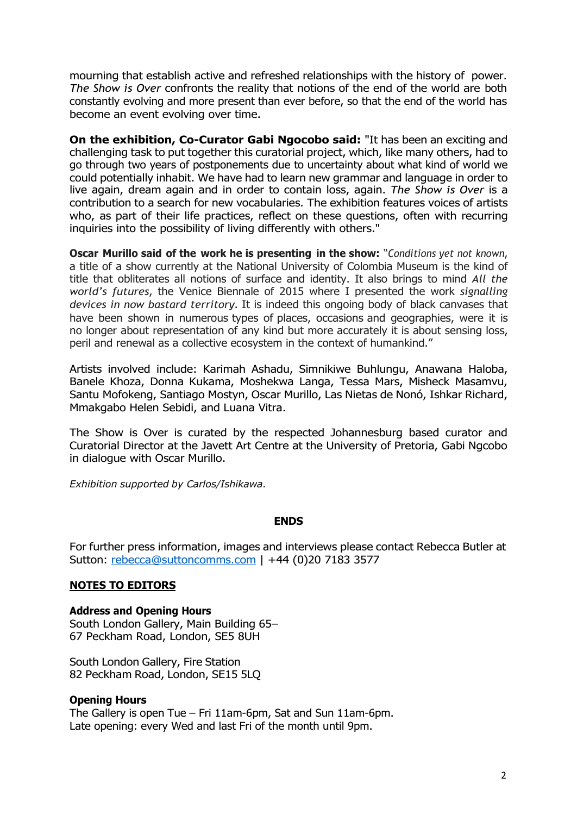mourning that establish active and refreshed relationships with the history of power. *The Show is Over* confronts the reality that notions of the end of the world are both constantly evolving and more present than ever before, so that the end of the world has become an event evolving over time.

**On the exhibition, Co-Curator Gabi Ngocobo said:** "It has been an exciting and challenging task to put together this curatorial project, which, like many others, had to go through two years of postponements due to uncertainty about what kind of world we could potentially inhabit. We have had to learn new grammar and language in order to live again, dream again and in order to contain loss, again. *The Show is Over* is a contribution to a search for new vocabularies. The exhibition features voices of artists who, as part of their life practices, reflect on these questions, often with recurring inquiries into the possibility of living differently with others."

**Oscar Murillo said of the work he is presenting in the show:** "*Conditions yet not known*, a title of a show currently at the National University of Colombia Museum is the kind of title that obliterates all notions of surface and identity. It also brings to mind *All the world's futures*, the Venice Biennale of 2015 where I presented the work *signalling devices in now bastard territory*. It is indeed this ongoing body of black canvases that have been shown in numerous types of places, occasions and geographies, were it is no longer about representation of any kind but more accurately it is about sensing loss, peril and renewal as a collective ecosystem in the context of humankind."

Artists involved include: Karimah Ashadu, Simnikiwe Buhlungu, Anawana Haloba, Banele Khoza, Donna Kukama, Moshekwa Langa, Tessa Mars, Misheck Masamvu, Santu Mofokeng, Santiago Mostyn, Oscar Murillo, Las Nietas de Nonó, Ishkar Richard, Mmakgabo Helen Sebidi, and Luana Vitra.

The Show is Over is curated by the respected Johannesburg based curator and Curatorial Director at the Javett Art Centre at the University of Pretoria, Gabi Ngcobo in dialogue with Oscar Murillo.

*Exhibition supported by Carlos/Ishikawa.*

#### **ENDS**

For further press information, images and interviews please contact Rebecca Butler at Sutton: [rebecca@suttoncomms.com](mailto:rebecca@suttoncomms.com) | +44 (0)20 7183 3577

# **NOTES TO EDITORS**

#### **Address and Opening Hours**

South London Gallery, Main Building 65– 67 Peckham Road, London, SE5 8UH

South London Gallery, Fire Station 82 Peckham Road, London, SE15 5LQ

#### **Opening Hours**

The Gallery is open Tue – Fri 11am-6pm, Sat and Sun 11am-6pm. Late opening: every Wed and last Fri of the month until 9pm.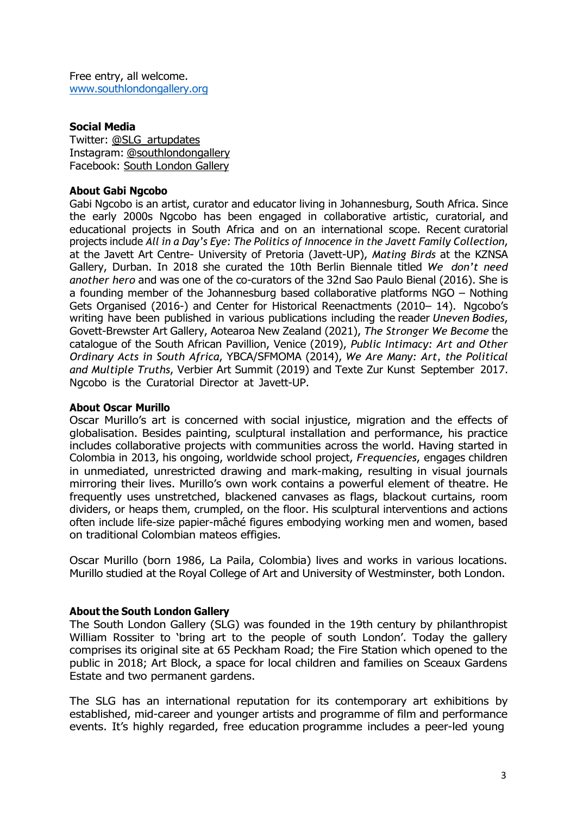Free entry, all welcome. [www.southlondongallery.org](http://www.southlondongallery.org/)

#### **Social Media**

Twitter: [@SLG\\_artupdates](https://twitter.com/SLG_artupdates) Instagram: [@southlondongallery](https://www.instagram.com/southlondongallery) Facebook: South [London](https://www.facebook.com/southlondongallery) Gallery

#### **About Gabi Ngcobo**

Gabi Ngcobo is an artist, curator and educator living in Johannesburg, South Africa. Since the early 2000s Ngcobo has been engaged in collaborative artistic, curatorial, and educational projects in South Africa and on an international scope. Recent curatorial projects include *All in a Day's Eye: The Politics of Innocence in the Javett Family Collection*, at the Javett Art Centre- University of Pretoria (Javett-UP), *Mating Birds* at the KZNSA Gallery, Durban. In 2018 she curated the 10th Berlin Biennale titled *We don't need another hero* and was one of the co-curators of the 32nd Sao Paulo Bienal (2016). She is a founding member of the Johannesburg based collaborative platforms NGO – Nothing Gets Organised (2016-) and Center for Historical Reenactments (2010– 14). Ngcobo's writing have been published in various publications including the reader *Uneven Bodies*, Govett-Brewster Art Gallery, Aotearoa New Zealand (2021), *The Stronger We Become* the catalogue of the South African Pavillion, Venice (2019), *Public Intimacy: Art and Other Ordinary Acts in South Africa*, YBCA/SFMOMA (2014), *We Are Many: Art, the Political and Multiple Truths*, Verbier Art Summit (2019) and Texte Zur Kunst September 2017. Ngcobo is the Curatorial Director at Javett-UP.

### **About Oscar Murillo**

Oscar Murillo's art is concerned with social injustice, migration and the effects of globalisation. Besides painting, sculptural installation and performance, his practice includes collaborative projects with communities across the world. Having started in Colombia in 2013, his ongoing, worldwide school project, *Frequencies*, engages children in unmediated, unrestricted drawing and mark-making, resulting in visual journals mirroring their lives. Murillo's own work contains a powerful element of theatre. He frequently uses unstretched, blackened canvases as flags, blackout curtains, room dividers, or heaps them, crumpled, on the floor. His sculptural interventions and actions often include life-size papier-mâché figures embodying working men and women, based on traditional Colombian mateos effigies.

Oscar Murillo (born 1986, La Paila, Colombia) lives and works in various locations. Murillo studied at the Royal College of Art and University of Westminster, both London.

# **About the South London Gallery**

The South London Gallery (SLG) was founded in the 19th century by philanthropist William Rossiter to 'bring art to the people of south London'. Today the gallery comprises its original site at 65 Peckham Road; the Fire Station which opened to the public in 2018; Art Block, a space for local children and families on Sceaux Gardens Estate and two permanent gardens.

The SLG has an international reputation for its contemporary art exhibitions by established, mid-career and younger artists and programme of film and performance events. It's highly regarded, free education programme includes a peer-led young